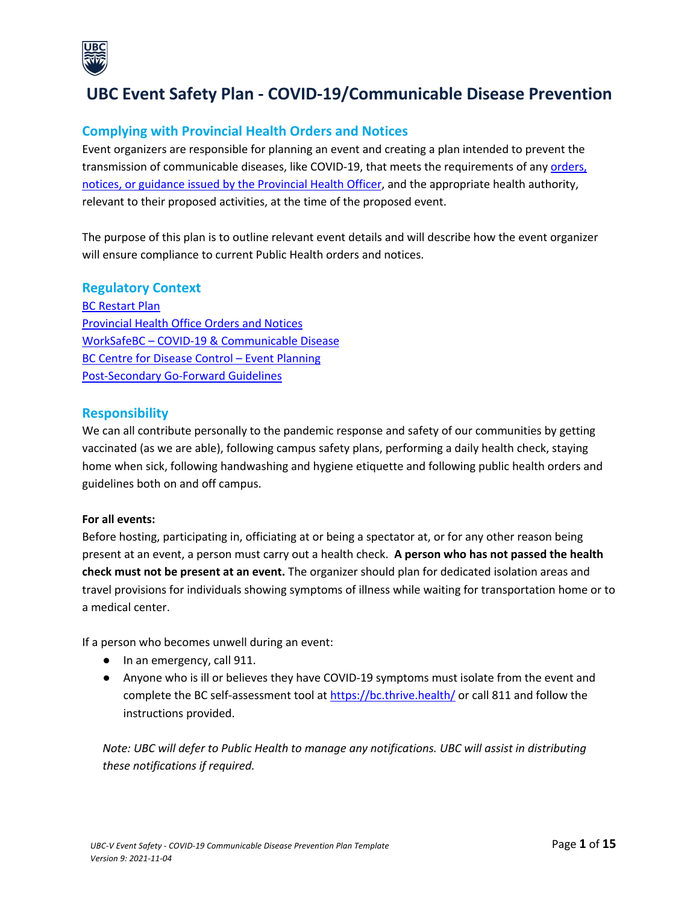

# **UBC Event Safety Plan - COVID-19/Communicable Disease Prevention**

### **Complying with Provincial Health Orders and Notices**

Event organizers are responsible for planning an event and creating a plan intended to prevent the transmission of communicable diseases, like COVID-19, that meets the requirements of any orders, notices, or guidance issued by the Provincial Health Officer, and the appropriate health authority, relevant to their proposed activities, at the time of the proposed event.

The purpose of this plan is to outline relevant event details and will describe how the event organizer will ensure compliance to current Public Health orders and notices.

#### **Regulatory Context**

BC Restart Plan Provincial Health Office Orders and Notices WorkSafeBC – COVID-19 & Communicable Disease BC Centre for Disease Control – Event Planning Post-Secondary Go-Forward Guidelines

#### **Responsibility**

We can all contribute personally to the pandemic response and safety of our communities by getting vaccinated (as we are able), following campus safety plans, performing a daily health check, staying home when sick, following handwashing and hygiene etiquette and following public health orders and guidelines both on and off campus.

#### **For all events:**

Before hosting, participating in, officiating at or being a spectator at, or for any other reason being present at an event, a person must carry out a health check. **A person who has not passed the health check must not be present at an event.** The organizer should plan for dedicated isolation areas and travel provisions for individuals showing symptoms of illness while waiting for transportation home or to a medical center.

If a person who becomes unwell during an event:

- In an emergency, call 911.
- Anyone who is ill or believes they have COVID-19 symptoms must isolate from the event and complete the BC self-assessment tool at https://bc.thrive.health/ or call 811 and follow the instructions provided.

*Note: UBC will defer to Public Health to manage any notifications. UBC will assist in distributing these notifications if required.*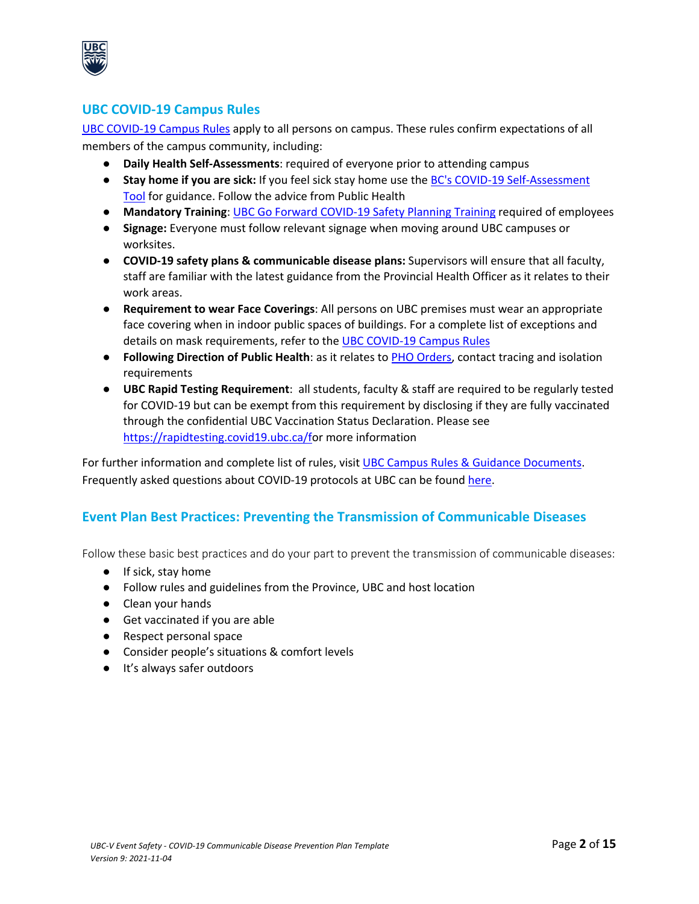

### **UBC COVID-19 Campus Rules**

UBC COVID-19 Campus Rules apply to all persons on campus. These rules confirm expectations of all members of the campus community, including:

- **Daily Health Self-Assessments**: required of everyone prior to attending campus
- **Stay home if you are sick:** If you feel sick stay home use the BC's COVID-19 Self-Assessment Tool for guidance. Follow the advice from Public Health
- **Mandatory Training**: UBC Go Forward COVID-19 Safety Planning Training required of employees
- **Signage:** Everyone must follow relevant signage when moving around UBC campuses or worksites.
- **COVID-19 safety plans & communicable disease plans:** Supervisors will ensure that all faculty, staff are familiar with the latest guidance from the Provincial Health Officer as it relates to their work areas.
- **Requirement to wear Face Coverings**: All persons on UBC premises must wear an appropriate face covering when in indoor public spaces of buildings. For a complete list of exceptions and details on mask requirements, refer to the UBC COVID-19 Campus Rules
- **Following Direction of Public Health**: as it relates to PHO Orders, contact tracing and isolation requirements
- **UBC Rapid Testing Requirement**: all students, faculty & staff are required to be regularly tested for COVID-19 but can be exempt from this requirement by disclosing if they are fully vaccinated through the confidential UBC Vaccination Status Declaration. Please see https://rapidtesting.covid19.ubc.ca/for more information

For further information and complete list of rules, visit UBC Campus Rules & Guidance Documents. Frequently asked questions about COVID-19 protocols at UBC can be found here.

# **Event Plan Best Practices: Preventing the Transmission of Communicable Diseases**

Follow these basic best practices and do your part to prevent the transmission of communicable diseases:

- If sick, stay home
- Follow rules and guidelines from the Province, UBC and host location
- Clean your hands
- Get vaccinated if you are able
- Respect personal space
- Consider people's situations & comfort levels
- It's always safer outdoors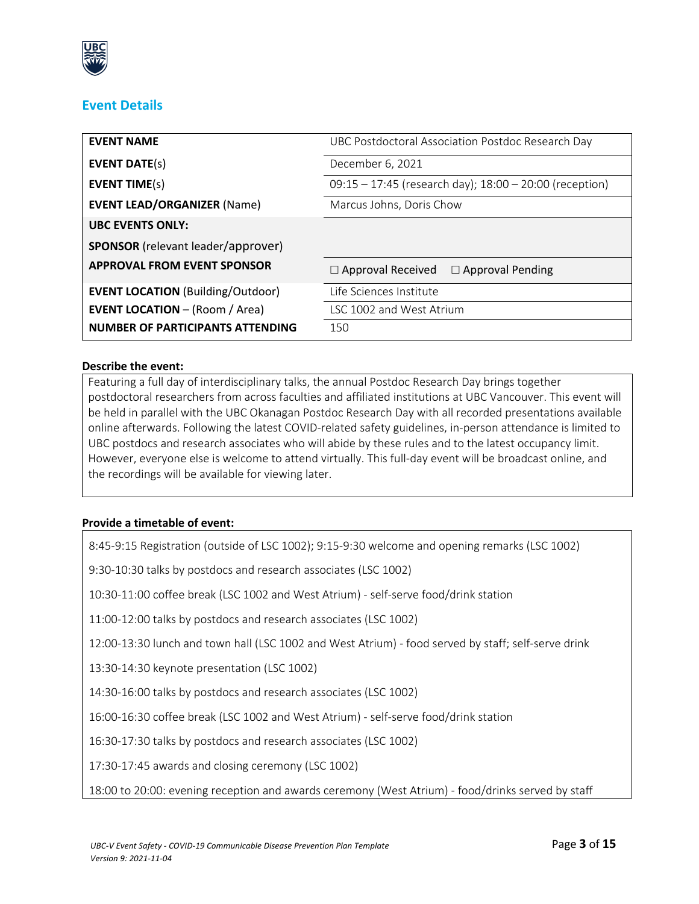

# **Event Details**

| <b>EVENT NAME</b>                         | UBC Postdoctoral Association Postdoc Research Day           |
|-------------------------------------------|-------------------------------------------------------------|
| <b>EVENT DATE(s)</b>                      | December 6, 2021                                            |
| <b>EVENT TIME(s)</b>                      | $09:15 - 17:45$ (research day); $18:00 - 20:00$ (reception) |
| <b>EVENT LEAD/ORGANIZER (Name)</b>        | Marcus Johns, Doris Chow                                    |
| <b>UBC EVENTS ONLY:</b>                   |                                                             |
| <b>SPONSOR</b> (relevant leader/approver) |                                                             |
| <b>APPROVAL FROM EVENT SPONSOR</b>        | $\Box$ Approval Received $\Box$ Approval Pending            |
| <b>EVENT LOCATION (Building/Outdoor)</b>  | Life Sciences Institute                                     |
| <b>EVENT LOCATION - (Room / Area)</b>     | LSC 1002 and West Atrium                                    |
| NUMBER OF PARTICIPANTS ATTENDING          | 150                                                         |

#### **Describe the event:**

Featuring a full day of interdisciplinary talks, the annual Postdoc Research Day brings together postdoctoral researchers from across faculties and affiliated institutions at UBC Vancouver. This event will be held in parallel with the UBC Okanagan Postdoc Research Day with all recorded presentations available online afterwards. Following the latest COVID-related safety guidelines, in-person attendance is limited to UBC postdocs and research associates who will abide by these rules and to the latest occupancy limit. However, everyone else is welcome to attend virtually. This full-day event will be broadcast online, and the recordings will be available for viewing later.

#### **Provide a timetable of event:**

8:45-9:15 Registration (outside of LSC 1002); 9:15-9:30 welcome and opening remarks (LSC 1002)

9:30-10:30 talks by postdocs and research associates (LSC 1002)

10:30-11:00 coffee break (LSC 1002 and West Atrium) - self-serve food/drink station

11:00-12:00 talks by postdocs and research associates (LSC 1002)

12:00-13:30 lunch and town hall (LSC 1002 and West Atrium) - food served by staff; self-serve drink

13:30-14:30 keynote presentation (LSC 1002)

14:30-16:00 talks by postdocs and research associates (LSC 1002)

16:00-16:30 coffee break (LSC 1002 and West Atrium) - self-serve food/drink station

16:30-17:30 talks by postdocs and research associates (LSC 1002)

17:30-17:45 awards and closing ceremony (LSC 1002)

18:00 to 20:00: evening reception and awards ceremony (West Atrium) - food/drinks served by staff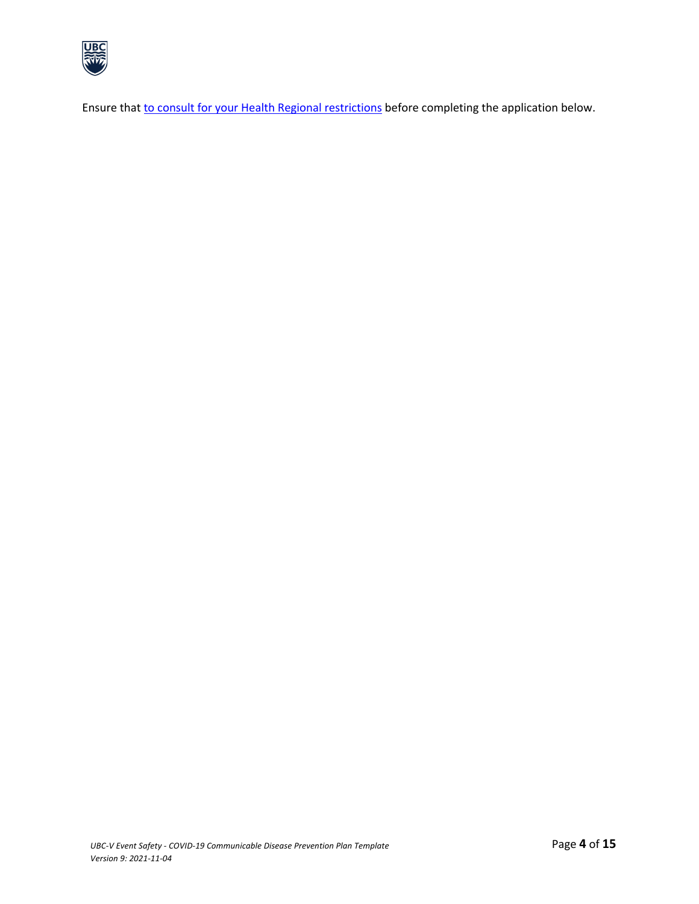

Ensure that to consult for your Health Regional restrictions before completing the application below.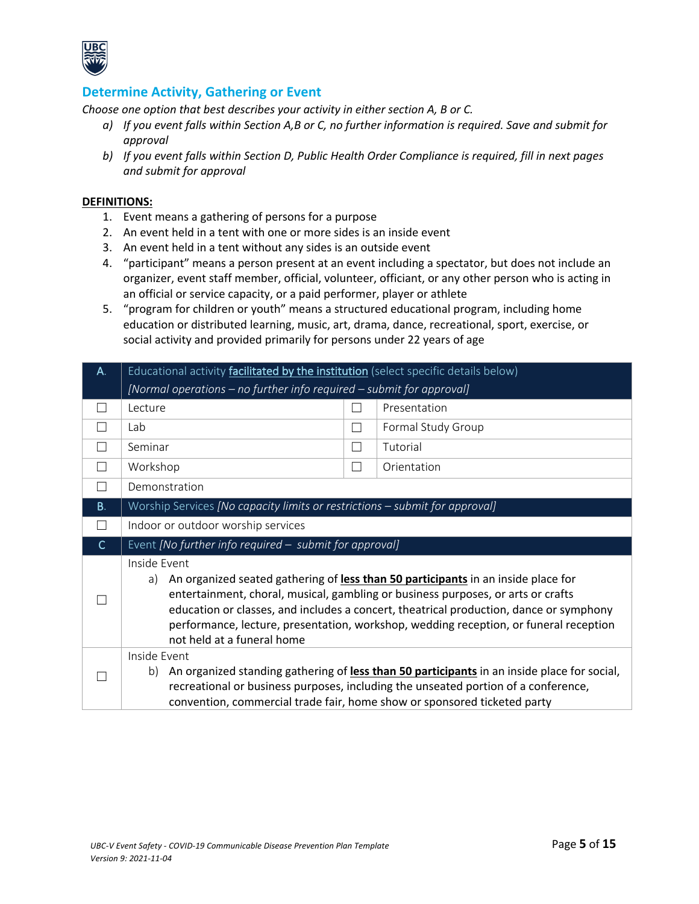

### **Determine Activity, Gathering or Event**

*Choose one option that best describes your activity in either section A, B or C.* 

- *a) If you event falls within Section A,B or C, no further information is required. Save and submit for approval*
- *b) If you event falls within Section D, Public Health Order Compliance is required, fill in next pages and submit for approval*

#### **DEFINITIONS:**

- 1. Event means a gathering of persons for a purpose
- 2. An event held in a tent with one or more sides is an inside event
- 3. An event held in a tent without any sides is an outside event
- 4. "participant" means a person present at an event including a spectator, but does not include an organizer, event staff member, official, volunteer, officiant, or any other person who is acting in an official or service capacity, or a paid performer, player or athlete
- 5. "program for children or youth" means a structured educational program, including home education or distributed learning, music, art, drama, dance, recreational, sport, exercise, or social activity and provided primarily for persons under 22 years of age

| A.        | Educational activity facilitated by the institution (select specific details below)                                                                                                                                                                                                                                                                                            |                |                    |
|-----------|--------------------------------------------------------------------------------------------------------------------------------------------------------------------------------------------------------------------------------------------------------------------------------------------------------------------------------------------------------------------------------|----------------|--------------------|
|           | [Normal operations – no further info required – submit for approval]                                                                                                                                                                                                                                                                                                           |                |                    |
|           | Lecture                                                                                                                                                                                                                                                                                                                                                                        |                | Presentation       |
|           | Lab                                                                                                                                                                                                                                                                                                                                                                            | $\sim$         | Formal Study Group |
| $\Box$    | Seminar                                                                                                                                                                                                                                                                                                                                                                        | $\Box$         | Tutorial           |
| П         | Workshop                                                                                                                                                                                                                                                                                                                                                                       | $\blacksquare$ | Orientation        |
|           | Demonstration                                                                                                                                                                                                                                                                                                                                                                  |                |                    |
| <b>B.</b> | Worship Services [No capacity limits or restrictions - submit for approval]                                                                                                                                                                                                                                                                                                    |                |                    |
|           | Indoor or outdoor worship services                                                                                                                                                                                                                                                                                                                                             |                |                    |
| C         | Event [No further info required - submit for approval]                                                                                                                                                                                                                                                                                                                         |                |                    |
|           | Inside Event<br>An organized seated gathering of less than 50 participants in an inside place for<br>a)<br>entertainment, choral, musical, gambling or business purposes, or arts or crafts<br>education or classes, and includes a concert, theatrical production, dance or symphony<br>performance, lecture, presentation, workshop, wedding reception, or funeral reception |                |                    |
|           | not held at a funeral home                                                                                                                                                                                                                                                                                                                                                     |                |                    |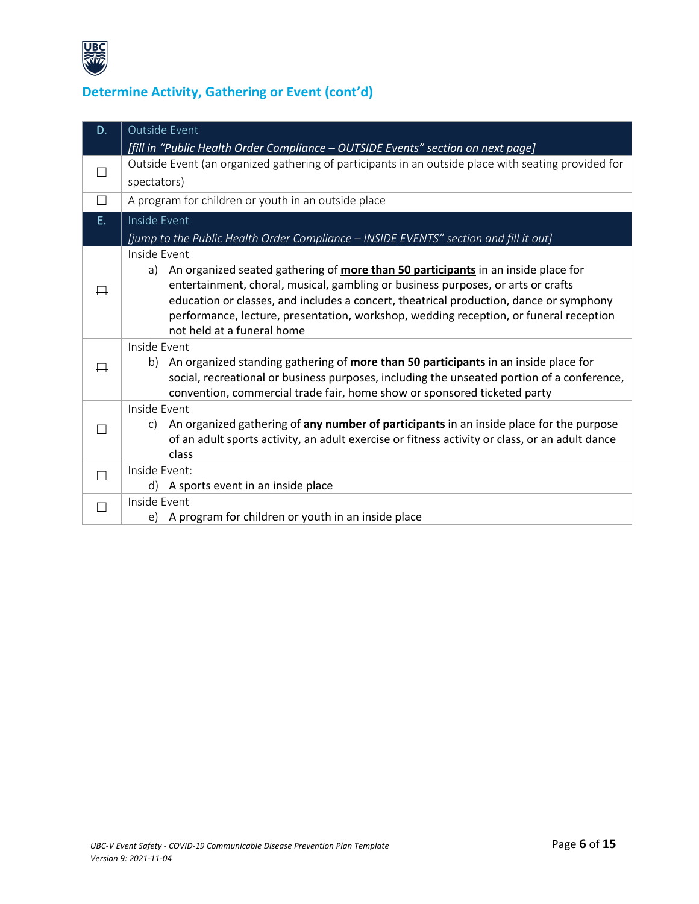

# **Determine Activity, Gathering or Event (cont'd)**

| D.     | <b>Outside Event</b>                                                                                                                                                                                                                                                                                                                                                                                      |
|--------|-----------------------------------------------------------------------------------------------------------------------------------------------------------------------------------------------------------------------------------------------------------------------------------------------------------------------------------------------------------------------------------------------------------|
|        | [fill in "Public Health Order Compliance - OUTSIDE Events" section on next page]                                                                                                                                                                                                                                                                                                                          |
|        | Outside Event (an organized gathering of participants in an outside place with seating provided for                                                                                                                                                                                                                                                                                                       |
|        | spectators)                                                                                                                                                                                                                                                                                                                                                                                               |
| $\Box$ | A program for children or youth in an outside place                                                                                                                                                                                                                                                                                                                                                       |
| E.     | Inside Event                                                                                                                                                                                                                                                                                                                                                                                              |
|        | [jump to the Public Health Order Compliance - INSIDE EVENTS" section and fill it out]                                                                                                                                                                                                                                                                                                                     |
|        | Inside Event<br>a) An organized seated gathering of more than 50 participants in an inside place for<br>entertainment, choral, musical, gambling or business purposes, or arts or crafts<br>education or classes, and includes a concert, theatrical production, dance or symphony<br>performance, lecture, presentation, workshop, wedding reception, or funeral reception<br>not held at a funeral home |
|        | Inside Event<br>An organized standing gathering of more than 50 participants in an inside place for<br>b)<br>social, recreational or business purposes, including the unseated portion of a conference,<br>convention, commercial trade fair, home show or sponsored ticketed party                                                                                                                       |
|        | Inside Event<br>An organized gathering of <b>any number of participants</b> in an inside place for the purpose<br>C)<br>of an adult sports activity, an adult exercise or fitness activity or class, or an adult dance<br>class                                                                                                                                                                           |
| П      | Inside Event:                                                                                                                                                                                                                                                                                                                                                                                             |
|        | d) A sports event in an inside place                                                                                                                                                                                                                                                                                                                                                                      |
| П      | Inside Event                                                                                                                                                                                                                                                                                                                                                                                              |
|        | e) A program for children or youth in an inside place                                                                                                                                                                                                                                                                                                                                                     |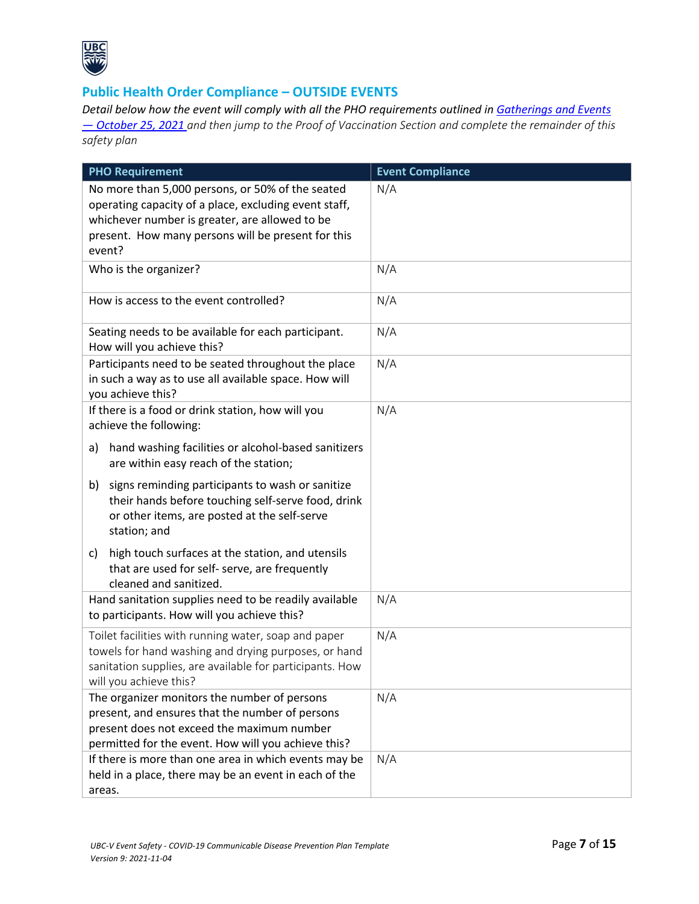

# **Public Health Order Compliance – OUTSIDE EVENTS**

*Detail below how the event will comply with all the PHO requirements outlined in Gatherings and Events — October 25, 2021 and then jump to the Proof of Vaccination Section and complete the remainder of this safety plan*

| <b>PHO Requirement</b>                                                                                                                                                                                                      | <b>Event Compliance</b> |
|-----------------------------------------------------------------------------------------------------------------------------------------------------------------------------------------------------------------------------|-------------------------|
| No more than 5,000 persons, or 50% of the seated<br>operating capacity of a place, excluding event staff,<br>whichever number is greater, are allowed to be<br>present. How many persons will be present for this<br>event? | N/A                     |
| Who is the organizer?                                                                                                                                                                                                       | N/A                     |
| How is access to the event controlled?                                                                                                                                                                                      | N/A                     |
| Seating needs to be available for each participant.<br>How will you achieve this?                                                                                                                                           | N/A                     |
| Participants need to be seated throughout the place<br>in such a way as to use all available space. How will<br>you achieve this?                                                                                           | N/A                     |
| If there is a food or drink station, how will you<br>achieve the following:                                                                                                                                                 | N/A                     |
| hand washing facilities or alcohol-based sanitizers<br>a)<br>are within easy reach of the station;                                                                                                                          |                         |
| signs reminding participants to wash or sanitize<br>b)<br>their hands before touching self-serve food, drink<br>or other items, are posted at the self-serve<br>station; and                                                |                         |
| high touch surfaces at the station, and utensils<br>c)<br>that are used for self- serve, are frequently<br>cleaned and sanitized.                                                                                           |                         |
| Hand sanitation supplies need to be readily available<br>to participants. How will you achieve this?                                                                                                                        | N/A                     |
| Toilet facilities with running water, soap and paper<br>towels for hand washing and drying purposes, or hand<br>sanitation supplies, are available for participants. How<br>will you achieve this?                          | N/A                     |
| The organizer monitors the number of persons<br>present, and ensures that the number of persons<br>present does not exceed the maximum number<br>permitted for the event. How will you achieve this?                        | N/A                     |
| If there is more than one area in which events may be<br>held in a place, there may be an event in each of the<br>areas.                                                                                                    | N/A                     |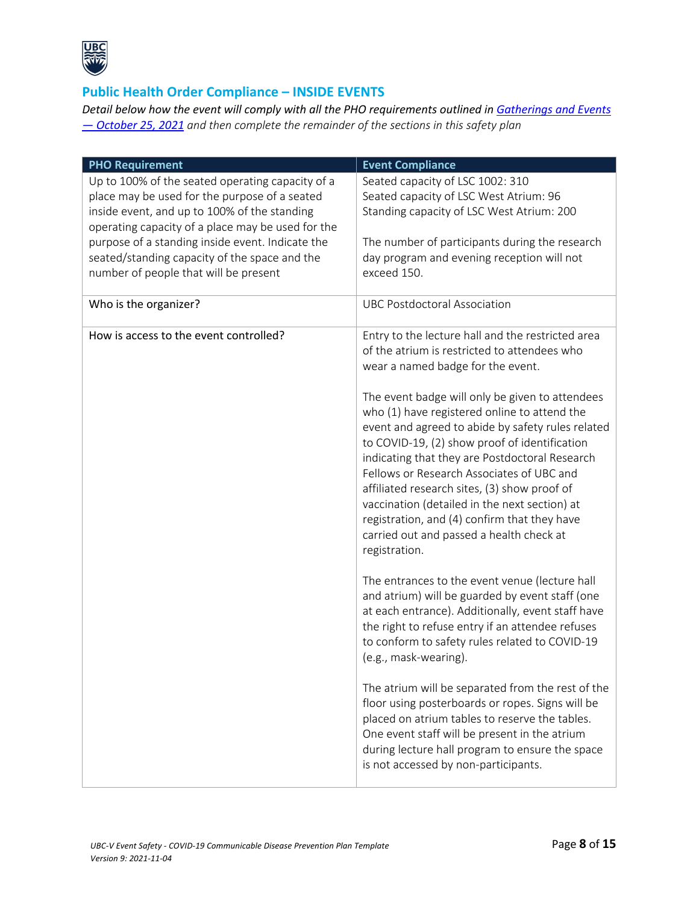

# **Public Health Order Compliance – INSIDE EVENTS**

*Detail below how the event will comply with all the PHO requirements outlined in Gatherings and Events — October 25, 2021 and then complete the remainder of the sections in this safety plan*

| <b>PHO Requirement</b>                                                                                                                                                                                                                                                                                                                               | <b>Event Compliance</b>                                                                                                                                                                                                                                                                                                                                                                                                                                                                                                                                                                                                                                      |
|------------------------------------------------------------------------------------------------------------------------------------------------------------------------------------------------------------------------------------------------------------------------------------------------------------------------------------------------------|--------------------------------------------------------------------------------------------------------------------------------------------------------------------------------------------------------------------------------------------------------------------------------------------------------------------------------------------------------------------------------------------------------------------------------------------------------------------------------------------------------------------------------------------------------------------------------------------------------------------------------------------------------------|
| Up to 100% of the seated operating capacity of a<br>place may be used for the purpose of a seated<br>inside event, and up to 100% of the standing<br>operating capacity of a place may be used for the<br>purpose of a standing inside event. Indicate the<br>seated/standing capacity of the space and the<br>number of people that will be present | Seated capacity of LSC 1002: 310<br>Seated capacity of LSC West Atrium: 96<br>Standing capacity of LSC West Atrium: 200<br>The number of participants during the research<br>day program and evening reception will not<br>exceed 150.                                                                                                                                                                                                                                                                                                                                                                                                                       |
| Who is the organizer?                                                                                                                                                                                                                                                                                                                                | <b>UBC Postdoctoral Association</b>                                                                                                                                                                                                                                                                                                                                                                                                                                                                                                                                                                                                                          |
| How is access to the event controlled?                                                                                                                                                                                                                                                                                                               | Entry to the lecture hall and the restricted area<br>of the atrium is restricted to attendees who<br>wear a named badge for the event.<br>The event badge will only be given to attendees<br>who (1) have registered online to attend the<br>event and agreed to abide by safety rules related<br>to COVID-19, (2) show proof of identification<br>indicating that they are Postdoctoral Research<br>Fellows or Research Associates of UBC and<br>affiliated research sites, (3) show proof of<br>vaccination (detailed in the next section) at<br>registration, and (4) confirm that they have<br>carried out and passed a health check at<br>registration. |
|                                                                                                                                                                                                                                                                                                                                                      | The entrances to the event venue (lecture hall<br>and atrium) will be guarded by event staff (one<br>at each entrance). Additionally, event staff have<br>the right to refuse entry if an attendee refuses<br>to conform to safety rules related to COVID-19<br>(e.g., mask-wearing).<br>The atrium will be separated from the rest of the                                                                                                                                                                                                                                                                                                                   |
|                                                                                                                                                                                                                                                                                                                                                      | floor using posterboards or ropes. Signs will be<br>placed on atrium tables to reserve the tables.<br>One event staff will be present in the atrium<br>during lecture hall program to ensure the space<br>is not accessed by non-participants.                                                                                                                                                                                                                                                                                                                                                                                                               |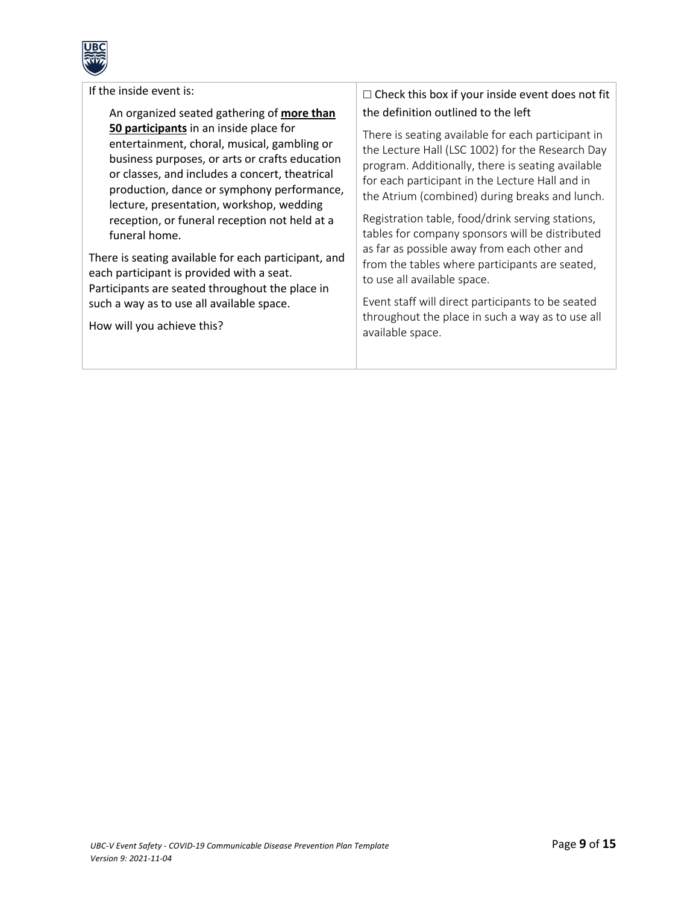

| If the inside event is: |  |
|-------------------------|--|
|-------------------------|--|

An organized seated gathering of **more than 50 participants** in an inside place for entertainment, choral, musical, gambling or business purposes, or arts or crafts education or classes, and includes a concert, theatrical production, dance or symphony performance, lecture, presentation, workshop, wedding reception, or funeral reception not held at a funeral home.

There is seating available for each participant, and each participant is provided with a seat. Participants are seated throughout the place in such a way as to use all available space.

How will you achieve this?

# $\Box$  Check this box if your inside event does not fit the definition outlined to the left

There is seating available for each participant in the Lecture Hall (LSC 1002) for the Research Day program. Additionally, there is seating available for each participant in the Lecture Hall and in the Atrium (combined) during breaks and lunch.

Registration table, food/drink serving stations, tables for company sponsors will be distributed as far as possible away from each other and from the tables where participants are seated, to use all available space.

Event staff will direct participants to be seated throughout the place in such a way as to use all available space.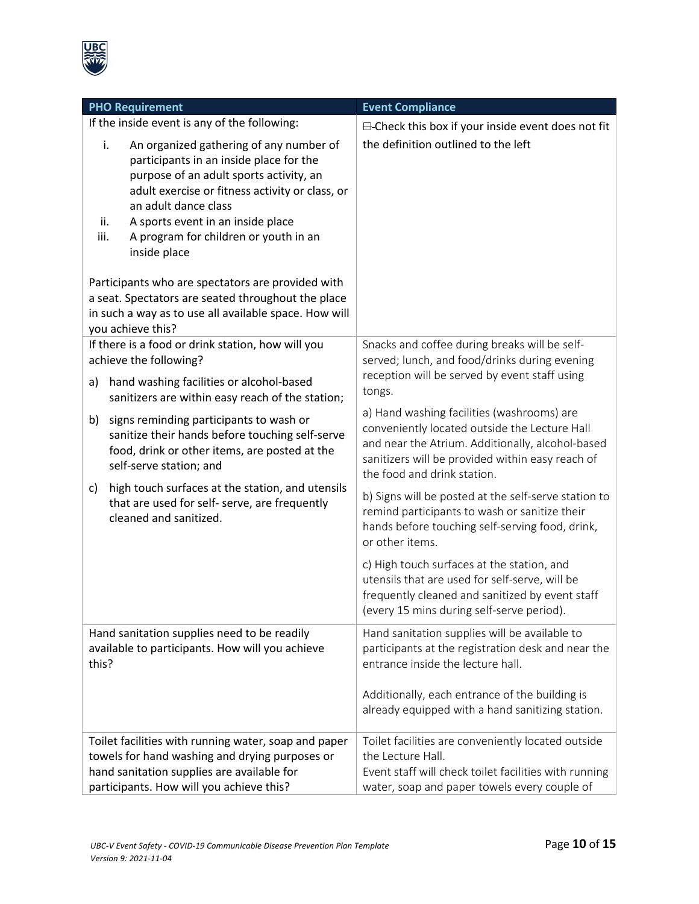

| <b>PHO Requirement</b>                                                                                                                                                                                                                                                                                                                                                                                                                 | <b>Event Compliance</b>                                                                                                                                                                                                            |
|----------------------------------------------------------------------------------------------------------------------------------------------------------------------------------------------------------------------------------------------------------------------------------------------------------------------------------------------------------------------------------------------------------------------------------------|------------------------------------------------------------------------------------------------------------------------------------------------------------------------------------------------------------------------------------|
| If the inside event is any of the following:                                                                                                                                                                                                                                                                                                                                                                                           | <b>⊟</b> -Check this box if your inside event does not fit                                                                                                                                                                         |
| i.<br>An organized gathering of any number of<br>participants in an inside place for the<br>purpose of an adult sports activity, an<br>adult exercise or fitness activity or class, or<br>an adult dance class<br>A sports event in an inside place<br>ii.<br>A program for children or youth in an<br>iii.<br>inside place<br>Participants who are spectators are provided with<br>a seat. Spectators are seated throughout the place | the definition outlined to the left                                                                                                                                                                                                |
| in such a way as to use all available space. How will<br>you achieve this?                                                                                                                                                                                                                                                                                                                                                             |                                                                                                                                                                                                                                    |
| If there is a food or drink station, how will you<br>achieve the following?<br>hand washing facilities or alcohol-based<br>a)                                                                                                                                                                                                                                                                                                          | Snacks and coffee during breaks will be self-<br>served; lunch, and food/drinks during evening<br>reception will be served by event staff using<br>tongs.                                                                          |
| sanitizers are within easy reach of the station;                                                                                                                                                                                                                                                                                                                                                                                       |                                                                                                                                                                                                                                    |
| signs reminding participants to wash or<br>b)<br>sanitize their hands before touching self-serve<br>food, drink or other items, are posted at the<br>self-serve station; and                                                                                                                                                                                                                                                           | a) Hand washing facilities (washrooms) are<br>conveniently located outside the Lecture Hall<br>and near the Atrium. Additionally, alcohol-based<br>sanitizers will be provided within easy reach of<br>the food and drink station. |
| high touch surfaces at the station, and utensils<br>c)<br>that are used for self- serve, are frequently<br>cleaned and sanitized.                                                                                                                                                                                                                                                                                                      | b) Signs will be posted at the self-serve station to<br>remind participants to wash or sanitize their<br>hands before touching self-serving food, drink,<br>or other items.                                                        |
|                                                                                                                                                                                                                                                                                                                                                                                                                                        | c) High touch surfaces at the station, and<br>utensils that are used for self-serve, will be<br>frequently cleaned and sanitized by event staff<br>(every 15 mins during self-serve period).                                       |
| Hand sanitation supplies need to be readily<br>available to participants. How will you achieve<br>this?                                                                                                                                                                                                                                                                                                                                | Hand sanitation supplies will be available to<br>participants at the registration desk and near the<br>entrance inside the lecture hall.                                                                                           |
|                                                                                                                                                                                                                                                                                                                                                                                                                                        | Additionally, each entrance of the building is<br>already equipped with a hand sanitizing station.                                                                                                                                 |
| Toilet facilities with running water, soap and paper<br>towels for hand washing and drying purposes or<br>hand sanitation supplies are available for<br>participants. How will you achieve this?                                                                                                                                                                                                                                       | Toilet facilities are conveniently located outside<br>the Lecture Hall.<br>Event staff will check toilet facilities with running<br>water, soap and paper towels every couple of                                                   |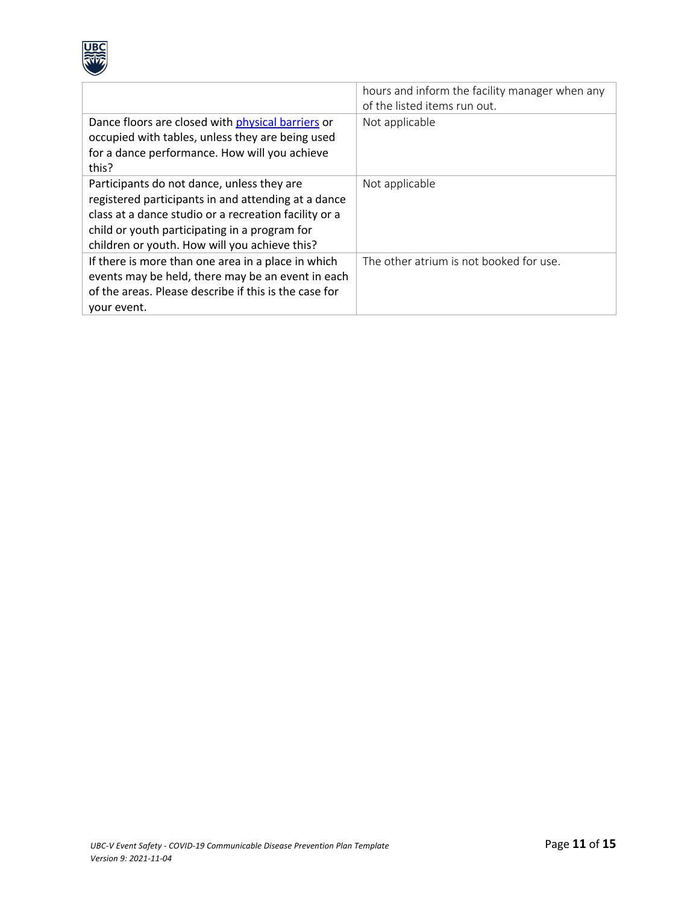

|                                                                                                                                                                                                                                                              | hours and inform the facility manager when any<br>of the listed items run out. |
|--------------------------------------------------------------------------------------------------------------------------------------------------------------------------------------------------------------------------------------------------------------|--------------------------------------------------------------------------------|
| Dance floors are closed with physical barriers or<br>occupied with tables, unless they are being used<br>for a dance performance. How will you achieve<br>this?                                                                                              | Not applicable                                                                 |
| Participants do not dance, unless they are<br>registered participants in and attending at a dance<br>class at a dance studio or a recreation facility or a<br>child or youth participating in a program for<br>children or youth. How will you achieve this? | Not applicable                                                                 |
| If there is more than one area in a place in which<br>events may be held, there may be an event in each<br>of the areas. Please describe if this is the case for<br>your event.                                                                              | The other atrium is not booked for use.                                        |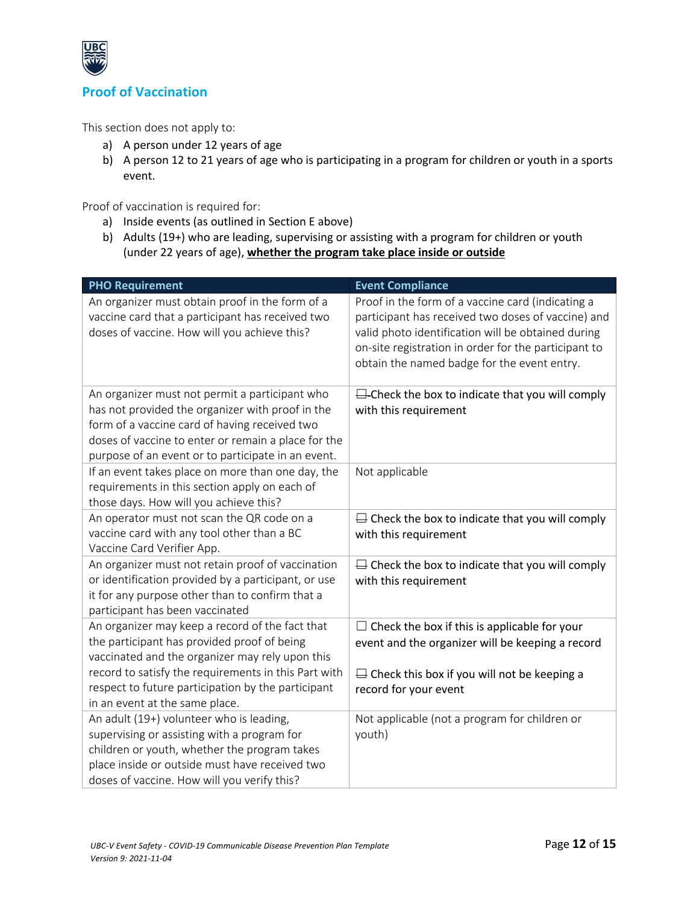

# **Proof of Vaccination**

This section does not apply to:

- a) A person under 12 years of age
- b) A person 12 to 21 years of age who is participating in a program for children or youth in a sports event.

Proof of vaccination is required for:

- a) Inside events (as outlined in Section E above)
- b) Adults (19+) who are leading, supervising or assisting with a program for children or youth (under 22 years of age), **whether the program take place inside or outside**

| <b>PHO Requirement</b>                                                                                                                                                                                                                                           | <b>Event Compliance</b>                                                                                                                                                                                                                                              |
|------------------------------------------------------------------------------------------------------------------------------------------------------------------------------------------------------------------------------------------------------------------|----------------------------------------------------------------------------------------------------------------------------------------------------------------------------------------------------------------------------------------------------------------------|
| An organizer must obtain proof in the form of a<br>vaccine card that a participant has received two<br>doses of vaccine. How will you achieve this?                                                                                                              | Proof in the form of a vaccine card (indicating a<br>participant has received two doses of vaccine) and<br>valid photo identification will be obtained during<br>on-site registration in order for the participant to<br>obtain the named badge for the event entry. |
| An organizer must not permit a participant who<br>has not provided the organizer with proof in the<br>form of a vaccine card of having received two<br>doses of vaccine to enter or remain a place for the<br>purpose of an event or to participate in an event. | $\Box$ -Check the box to indicate that you will comply<br>with this requirement                                                                                                                                                                                      |
| If an event takes place on more than one day, the<br>requirements in this section apply on each of<br>those days. How will you achieve this?                                                                                                                     | Not applicable                                                                                                                                                                                                                                                       |
| An operator must not scan the QR code on a<br>vaccine card with any tool other than a BC<br>Vaccine Card Verifier App.                                                                                                                                           | $\Box$ Check the box to indicate that you will comply<br>with this requirement                                                                                                                                                                                       |
| An organizer must not retain proof of vaccination<br>or identification provided by a participant, or use<br>it for any purpose other than to confirm that a<br>participant has been vaccinated                                                                   | $\Box$ Check the box to indicate that you will comply<br>with this requirement                                                                                                                                                                                       |
| An organizer may keep a record of the fact that<br>the participant has provided proof of being<br>vaccinated and the organizer may rely upon this<br>record to satisfy the requirements in this Part with                                                        | $\Box$ Check the box if this is applicable for your<br>event and the organizer will be keeping a record<br>$\Box$ Check this box if you will not be keeping a                                                                                                        |
| respect to future participation by the participant<br>in an event at the same place.                                                                                                                                                                             | record for your event                                                                                                                                                                                                                                                |
| An adult (19+) volunteer who is leading,<br>supervising or assisting with a program for<br>children or youth, whether the program takes<br>place inside or outside must have received two<br>doses of vaccine. How will you verify this?                         | Not applicable (not a program for children or<br>youth)                                                                                                                                                                                                              |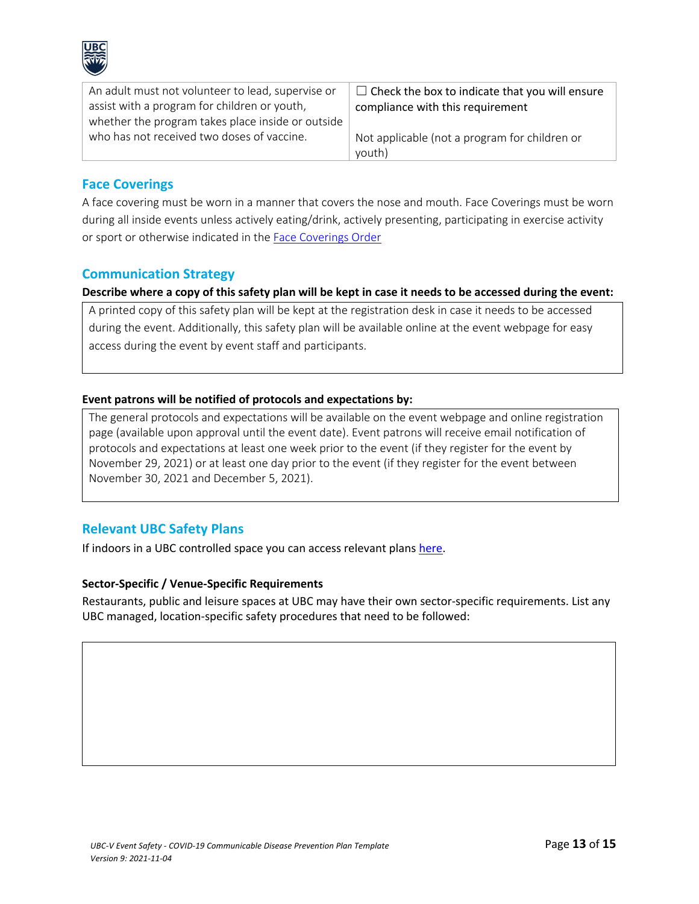

| An adult must not volunteer to lead, supervise or | $\Box$ Check the box to indicate that you will ensure |
|---------------------------------------------------|-------------------------------------------------------|
| assist with a program for children or youth,      | compliance with this requirement                      |
| whether the program takes place inside or outside |                                                       |
| who has not received two doses of vaccine.        | Not applicable (not a program for children or         |
|                                                   | youth)                                                |

#### **Face Coverings**

A face covering must be worn in a manner that covers the nose and mouth. Face Coverings must be worn during all inside events unless actively eating/drink, actively presenting, participating in exercise activity or sport or otherwise indicated in the Face Coverings Order

#### **Communication Strategy**

**Describe where a copy of this safety plan will be kept in case it needs to be accessed during the event:**

A printed copy of this safety plan will be kept at the registration desk in case it needs to be accessed during the event. Additionally, this safety plan will be available online at the event webpage for easy access during the event by event staff and participants.

#### **Event patrons will be notified of protocols and expectations by:**

The general protocols and expectations will be available on the event webpage and online registration page (available upon approval until the event date). Event patrons will receive email notification of protocols and expectations at least one week prior to the event (if they register for the event by November 29, 2021) or at least one day prior to the event (if they register for the event between November 30, 2021 and December 5, 2021).

### **Relevant UBC Safety Plans**

If indoors in a UBC controlled space you can access relevant plans here.

#### **Sector-Specific / Venue-Specific Requirements**

Restaurants, public and leisure spaces at UBC may have their own sector-specific requirements. List any UBC managed, location-specific safety procedures that need to be followed: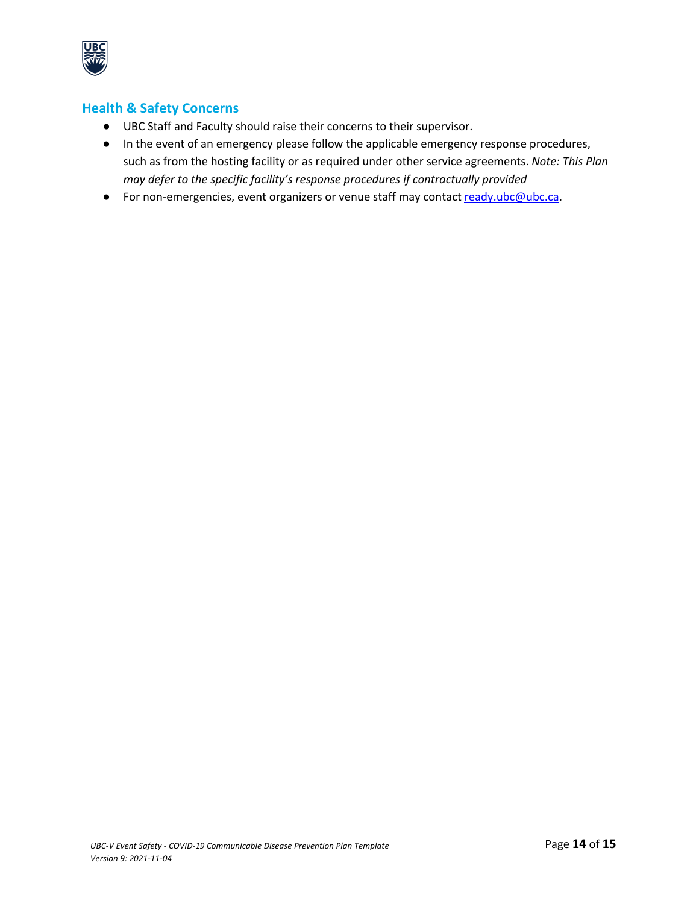

# **Health & Safety Concerns**

- UBC Staff and Faculty should raise their concerns to their supervisor.
- In the event of an emergency please follow the applicable emergency response procedures, such as from the hosting facility or as required under other service agreements. *Note: This Plan may defer to the specific facility's response procedures if contractually provided*
- For non-emergencies, event organizers or venue staff may contact ready.ubc@ubc.ca.